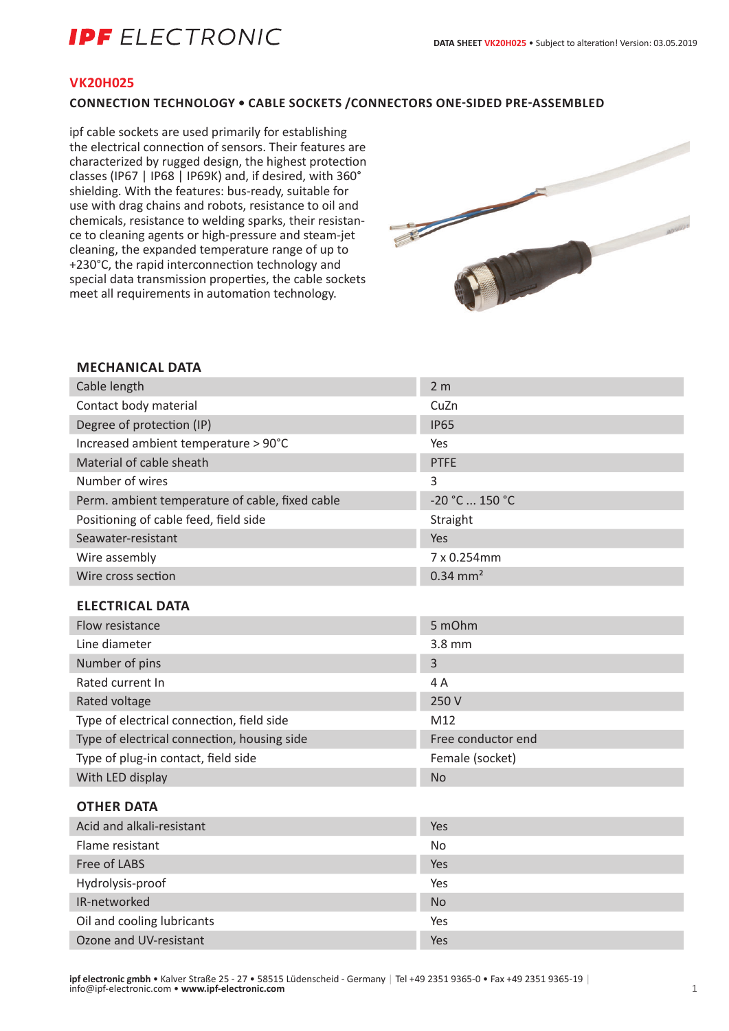# **IPF** ELECTRONIC

# **VK20H025**

# **CONNECTION TECHNOLOGY • CABLE SOCKETS /CONNECTORS ONE-SIDED PRE-ASSEMBLED**

ipf cable sockets are used primarily for establishing the electrical connection of sensors. Their features are characterized by rugged design, the highest protection classes (IP67 | IP68 | IP69K) and, if desired, with 360° shielding. With the features: bus-ready, suitable for use with drag chains and robots, resistance to oil and chemicals, resistance to welding sparks, their resistance to cleaning agents or high-pressure and steam-jet cleaning, the expanded temperature range of up to +230°C, the rapid interconnection technology and special data transmission properties, the cable sockets meet all requirements in automation technology.



## **MECHANICAL DATA**

| Cable length                                    | 2 <sub>m</sub>         |
|-------------------------------------------------|------------------------|
| Contact body material                           | CuZn                   |
| Degree of protection (IP)                       | <b>IP65</b>            |
| Increased ambient temperature > 90°C            | Yes                    |
| Material of cable sheath                        | <b>PTFE</b>            |
| Number of wires                                 | 3                      |
| Perm. ambient temperature of cable, fixed cable | -20 °C  150 °C         |
| Positioning of cable feed, field side           | Straight               |
| Seawater-resistant                              | Yes                    |
| Wire assembly                                   | 7 x 0.254mm            |
| Wire cross section                              | $0.34$ mm <sup>2</sup> |
| <b>ELECTRICAL DATA</b>                          |                        |
| Flow resistance                                 | 5 mOhm                 |
| Line diameter                                   | 3.8 mm                 |
| Number of pins                                  | 3                      |
| Rated current In                                | 4A                     |
| Rated voltage                                   | 250 V                  |
| Type of electrical connection, field side       | M12                    |
| Type of electrical connection, housing side     | Free conductor end     |
| Type of plug-in contact, field side             | Female (socket)        |
| With LED display                                | <b>No</b>              |
| <b>OTHER DATA</b>                               |                        |
| Acid and alkali-resistant                       | Yes                    |
| Flame resistant                                 | <b>No</b>              |
| Free of LABS                                    | Yes                    |
| Hydrolysis-proof                                | Yes                    |
| IR-networked                                    | <b>No</b>              |

Oil and cooling lubricants The Yes Ozone and UV-resistant Yes